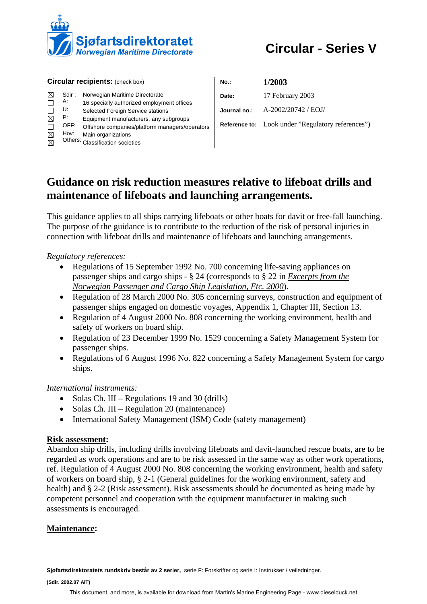

# **Circular - Series V**

| <b>Circular recipients: (check box)</b> |                          |                                                                                                                                                                                         | No.:         | 1/2003                                                   |
|-----------------------------------------|--------------------------|-----------------------------------------------------------------------------------------------------------------------------------------------------------------------------------------|--------------|----------------------------------------------------------|
|                                         | Sdir:<br>А:              | Norwegian Maritime Directorate<br>16 specially authorized employment offices                                                                                                            | Date:        | 17 February 2003                                         |
| ⊠                                       | U:<br>P.<br>OFF:<br>Hov: | Selected Foreign Service stations<br>Equipment manufacturers, any subgroups<br>Offshore companies/platform managers/operators<br>Main organizations<br>Others: Classification societies | Journal no.: | A-2002/20742 / EOJ/                                      |
|                                         |                          |                                                                                                                                                                                         |              | <b>Reference to:</b> Look under "Regulatory references") |

# **Guidance on risk reduction measures relative to lifeboat drills and maintenance of lifeboats and launching arrangements.**

This guidance applies to all ships carrying lifeboats or other boats for davit or free-fall launching. The purpose of the guidance is to contribute to the reduction of the risk of personal injuries in connection with lifeboat drills and maintenance of lifeboats and launching arrangements.

*Regulatory references:* 

- Regulations of 15 September 1992 No. 700 concerning life-saving appliances on passenger ships and cargo ships - § 24 (corresponds to § 22 in *Excerpts from the Norwegian Passenger and Cargo Ship Legislation, Etc. 2000*).
- Regulation of 28 March 2000 No. 305 concerning surveys, construction and equipment of passenger ships engaged on domestic voyages, Appendix 1, Chapter III, Section 13.
- Regulation of 4 August 2000 No. 808 concerning the working environment, health and safety of workers on board ship.
- Regulation of 23 December 1999 No. 1529 concerning a Safety Management System for passenger ships.
- Regulations of 6 August 1996 No. 822 concerning a Safety Management System for cargo ships.

*International instruments:* 

- Solas Ch. III Regulations 19 and 30 (drills)
- Solas Ch. III Regulation 20 (maintenance)
- International Safety Management (ISM) Code (safety management)

## **Risk assessment:**

Abandon ship drills, including drills involving lifeboats and davit-launched rescue boats, are to be regarded as work operations and are to be risk assessed in the same way as other work operations, ref. Regulation of 4 August 2000 No. 808 concerning the working environment, health and safety of workers on board ship, § 2-1 (General guidelines for the working environment, safety and health) and § 2-2 (Risk assessment). Risk assessments should be documented as being made by competent personnel and cooperation with the equipment manufacturer in making such assessments is encouraged.

## **Maintenance:**

**Sjøfartsdirektoratets rundskriv består av 2 serier,** serie F: Forskrifter og serie I: Instrukser / veiledninger.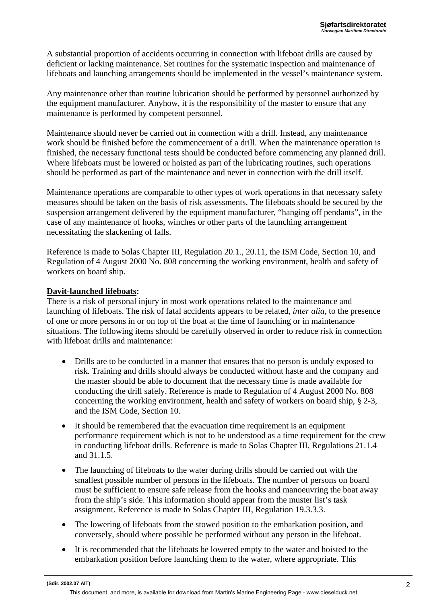A substantial proportion of accidents occurring in connection with lifeboat drills are caused by deficient or lacking maintenance. Set routines for the systematic inspection and maintenance of lifeboats and launching arrangements should be implemented in the vessel's maintenance system.

Any maintenance other than routine lubrication should be performed by personnel authorized by the equipment manufacturer. Anyhow, it is the responsibility of the master to ensure that any maintenance is performed by competent personnel.

Maintenance should never be carried out in connection with a drill. Instead, any maintenance work should be finished before the commencement of a drill. When the maintenance operation is finished, the necessary functional tests should be conducted before commencing any planned drill. Where lifeboats must be lowered or hoisted as part of the lubricating routines, such operations should be performed as part of the maintenance and never in connection with the drill itself.

Maintenance operations are comparable to other types of work operations in that necessary safety measures should be taken on the basis of risk assessments. The lifeboats should be secured by the suspension arrangement delivered by the equipment manufacturer, "hanging off pendants", in the case of any maintenance of hooks, winches or other parts of the launching arrangement necessitating the slackening of falls.

Reference is made to Solas Chapter III, Regulation 20.1., 20.11, the ISM Code, Section 10, and Regulation of 4 August 2000 No. 808 concerning the working environment, health and safety of workers on board ship.

#### **Davit-launched lifeboats:**

There is a risk of personal injury in most work operations related to the maintenance and launching of lifeboats. The risk of fatal accidents appears to be related, *inter alia*, to the presence of one or more persons in or on top of the boat at the time of launching or in maintenance situations. The following items should be carefully observed in order to reduce risk in connection with lifeboat drills and maintenance:

- Drills are to be conducted in a manner that ensures that no person is unduly exposed to risk. Training and drills should always be conducted without haste and the company and the master should be able to document that the necessary time is made available for conducting the drill safely. Reference is made to Regulation of 4 August 2000 No. 808 concerning the working environment, health and safety of workers on board ship, § 2-3, and the ISM Code, Section 10.
- It should be remembered that the evacuation time requirement is an equipment performance requirement which is not to be understood as a time requirement for the crew in conducting lifeboat drills. Reference is made to Solas Chapter III, Regulations 21.1.4 and 31.1.5.
- The launching of lifeboats to the water during drills should be carried out with the smallest possible number of persons in the lifeboats. The number of persons on board must be sufficient to ensure safe release from the hooks and manoeuvring the boat away from the ship's side. This information should appear from the muster list's task assignment. Reference is made to Solas Chapter III, Regulation 19.3.3.3.
- The lowering of lifeboats from the stowed position to the embarkation position, and conversely, should where possible be performed without any person in the lifeboat.
- It is recommended that the lifeboats be lowered empty to the water and hoisted to the embarkation position before launching them to the water, where appropriate. This